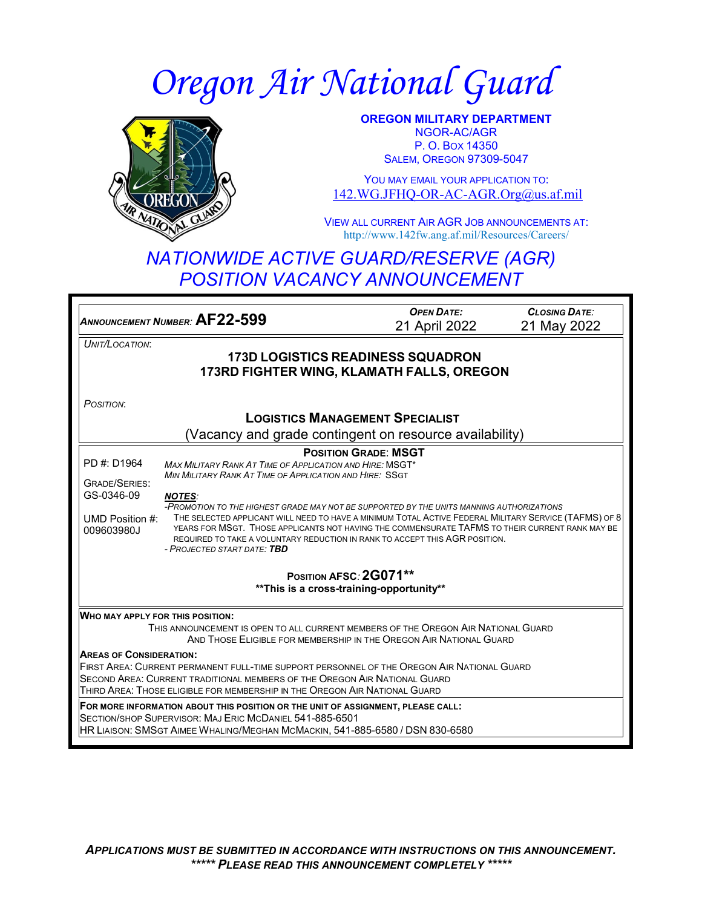# *Oregon Air National Guard*



**OREGON MILITARY DEPARTMENT** NGOR-AC/AGR P. O. BOX 14350 **SALEM, OREGON 97309-5047** 

YOU MAY EMAIL YOUR APPLICATION TO: [142.WG.JFHQ-OR-AC-AGR.Org@us.af.mil](mailto:142.WG.JFHQ-OR-AC-AGR.Org@us.af.mil)

VIEW ALL CURRENT AIR AGR JOB ANNOUNCEMENTS AT: http://www.142fw.ang.af.mil/Resources/Careers/

# *NATIONWIDE ACTIVE GUARD/RESERVE (AGR) POSITION VACANCY ANNOUNCEMENT*

*ANNOUNCEMENT NUMBER:* **AF22-599** *OPEN DATE:* 21 April 2022 *CLOSING DATE:* 21 May 2022 *UNIT/LOCATION*: **173D LOGISTICS READINESS SQUADRON 173RD FIGHTER WING, KLAMATH FALLS, OREGON** *POSITION*: **LOGISTICS MANAGEMENT SPECIALIST** (Vacancy and grade contingent on resource availability) PD #: D1964 GRADE/SERIES: GS-0346-09 UMD Position #: THE SELECTED APPLICANT WILL NEED TO HAVE A MINIMUM TOTAL ACTIVE FEDERAL MILITARY SERVICE (TAFMS) OF 8 009603980J **POSITION GRADE**: **MSGT** *MAX MILITARY RANK AT TIME OF APPLICATION AND HIRE:* MSGT\* *MIN MILITARY RANK AT TIME OF APPLICATION AND HIRE:* SSGT *NOTES: -PROMOTION TO THE HIGHEST GRADE MAY NOT BE SUPPORTED BY THE UNITS MANNING AUTHORIZATIONS* YEARS FOR MSGT. THOSE APPLICANTS NOT HAVING THE COMMENSURATE TAFMS TO THEIR CURRENT RANK MAY BE REQUIRED TO TAKE A VOLUNTARY REDUCTION IN RANK TO ACCEPT THIS AGR POSITION. *- PROJECTED START DATE: TBD* **POSITION AFSC***:* **2G071\*\* \*\*This is a cross-training-opportunity\*\* WHO MAY APPLY FOR THIS POSITION:** THIS ANNOUNCEMENT IS OPEN TO ALL CURRENT MEMBERS OF THE OREGON AIR NATIONAL GUARD AND THOSE ELIGIBLE FOR MEMBERSHIP IN THE OREGON AIR NATIONAL GUARD **AREAS OF CONSIDERATION:** FIRST AREA: CURRENT PERMANENT FULL-TIME SUPPORT PERSONNEL OF THE OREGON AIR NATIONAL GUARD SECOND AREA: CURRENT TRADITIONAL MEMBERS OF THE OREGON AIR NATIONAL GUARD THIRD AREA: THOSE ELIGIBLE FOR MEMBERSHIP IN THE OREGON AIR NATIONAL GUARD **FOR MORE INFORMATION ABOUT THIS POSITION OR THE UNIT OF ASSIGNMENT, PLEASE CALL:** SECTION/SHOP SUPERVISOR: MAJ ERIC MCDANIEL 541-885-6501 HR LIAISON: SMSGT AIMEE WHALING/MEGHAN MCMACKIN, 541-885-6580 / DSN 830-6580

*APPLICATIONS MUST BE SUBMITTED IN ACCORDANCE WITH INSTRUCTIONS ON THIS ANNOUNCEMENT. \*\*\*\*\* PLEASE READ THIS ANNOUNCEMENT COMPLETELY \*\*\*\*\**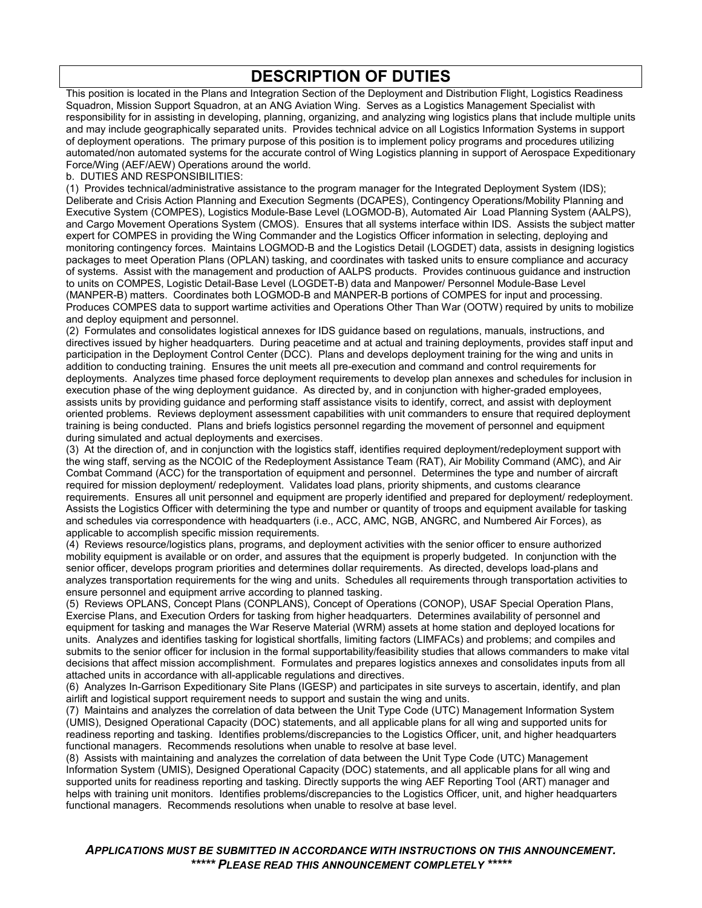# **DESCRIPTION OF DUTIES**

This position is located in the Plans and Integration Section of the Deployment and Distribution Flight, Logistics Readiness Squadron, Mission Support Squadron, at an ANG Aviation Wing. Serves as a Logistics Management Specialist with responsibility for in assisting in developing, planning, organizing, and analyzing wing logistics plans that include multiple units and may include geographically separated units. Provides technical advice on all Logistics Information Systems in support of deployment operations. The primary purpose of this position is to implement policy programs and procedures utilizing automated/non automated systems for the accurate control of Wing Logistics planning in support of Aerospace Expeditionary Force/Wing (AEF/AEW) Operations around the world.

#### b. DUTIES AND RESPONSIBILITIES:

(1) Provides technical/administrative assistance to the program manager for the Integrated Deployment System (IDS); Deliberate and Crisis Action Planning and Execution Segments (DCAPES), Contingency Operations/Mobility Planning and Executive System (COMPES), Logistics Module-Base Level (LOGMOD-B), Automated Air Load Planning System (AALPS), and Cargo Movement Operations System (CMOS). Ensures that all systems interface within IDS. Assists the subject matter expert for COMPES in providing the Wing Commander and the Logistics Officer information in selecting, deploying and monitoring contingency forces. Maintains LOGMOD-B and the Logistics Detail (LOGDET) data, assists in designing logistics packages to meet Operation Plans (OPLAN) tasking, and coordinates with tasked units to ensure compliance and accuracy of systems. Assist with the management and production of AALPS products. Provides continuous guidance and instruction to units on COMPES, Logistic Detail-Base Level (LOGDET-B) data and Manpower/ Personnel Module-Base Level (MANPER-B) matters. Coordinates both LOGMOD-B and MANPER-B portions of COMPES for input and processing. Produces COMPES data to support wartime activities and Operations Other Than War (OOTW) required by units to mobilize and deploy equipment and personnel.

(2) Formulates and consolidates logistical annexes for IDS guidance based on regulations, manuals, instructions, and directives issued by higher headquarters. During peacetime and at actual and training deployments, provides staff input and participation in the Deployment Control Center (DCC). Plans and develops deployment training for the wing and units in addition to conducting training. Ensures the unit meets all pre-execution and command and control requirements for deployments. Analyzes time phased force deployment requirements to develop plan annexes and schedules for inclusion in execution phase of the wing deployment guidance. As directed by, and in conjunction with higher-graded employees, assists units by providing guidance and performing staff assistance visits to identify, correct, and assist with deployment oriented problems. Reviews deployment assessment capabilities with unit commanders to ensure that required deployment training is being conducted. Plans and briefs logistics personnel regarding the movement of personnel and equipment during simulated and actual deployments and exercises.

(3) At the direction of, and in conjunction with the logistics staff, identifies required deployment/redeployment support with the wing staff, serving as the NCOIC of the Redeployment Assistance Team (RAT), Air Mobility Command (AMC), and Air Combat Command (ACC) for the transportation of equipment and personnel. Determines the type and number of aircraft required for mission deployment/ redeployment. Validates load plans, priority shipments, and customs clearance requirements. Ensures all unit personnel and equipment are properly identified and prepared for deployment/ redeployment. Assists the Logistics Officer with determining the type and number or quantity of troops and equipment available for tasking and schedules via correspondence with headquarters (i.e., ACC, AMC, NGB, ANGRC, and Numbered Air Forces), as applicable to accomplish specific mission requirements.

(4) Reviews resource/logistics plans, programs, and deployment activities with the senior officer to ensure authorized mobility equipment is available or on order, and assures that the equipment is properly budgeted. In conjunction with the senior officer, develops program priorities and determines dollar requirements. As directed, develops load-plans and analyzes transportation requirements for the wing and units. Schedules all requirements through transportation activities to ensure personnel and equipment arrive according to planned tasking.

(5) Reviews OPLANS, Concept Plans (CONPLANS), Concept of Operations (CONOP), USAF Special Operation Plans, Exercise Plans, and Execution Orders for tasking from higher headquarters. Determines availability of personnel and equipment for tasking and manages the War Reserve Material (WRM) assets at home station and deployed locations for units. Analyzes and identifies tasking for logistical shortfalls, limiting factors (LIMFACs) and problems; and compiles and submits to the senior officer for inclusion in the formal supportability/feasibility studies that allows commanders to make vital decisions that affect mission accomplishment. Formulates and prepares logistics annexes and consolidates inputs from all attached units in accordance with all-applicable regulations and directives.

(6) Analyzes In-Garrison Expeditionary Site Plans (IGESP) and participates in site surveys to ascertain, identify, and plan airlift and logistical support requirement needs to support and sustain the wing and units.

(7) Maintains and analyzes the correlation of data between the Unit Type Code (UTC) Management Information System (UMIS), Designed Operational Capacity (DOC) statements, and all applicable plans for all wing and supported units for readiness reporting and tasking. Identifies problems/discrepancies to the Logistics Officer, unit, and higher headquarters functional managers. Recommends resolutions when unable to resolve at base level.

(8) Assists with maintaining and analyzes the correlation of data between the Unit Type Code (UTC) Management Information System (UMIS), Designed Operational Capacity (DOC) statements, and all applicable plans for all wing and supported units for readiness reporting and tasking. Directly supports the wing AEF Reporting Tool (ART) manager and helps with training unit monitors. Identifies problems/discrepancies to the Logistics Officer, unit, and higher headquarters functional managers. Recommends resolutions when unable to resolve at base level.

*APPLICATIONS MUST BE SUBMITTED IN ACCORDANCE WITH INSTRUCTIONS ON THIS ANNOUNCEMENT. \*\*\*\*\* PLEASE READ THIS ANNOUNCEMENT COMPLETELY \*\*\*\*\**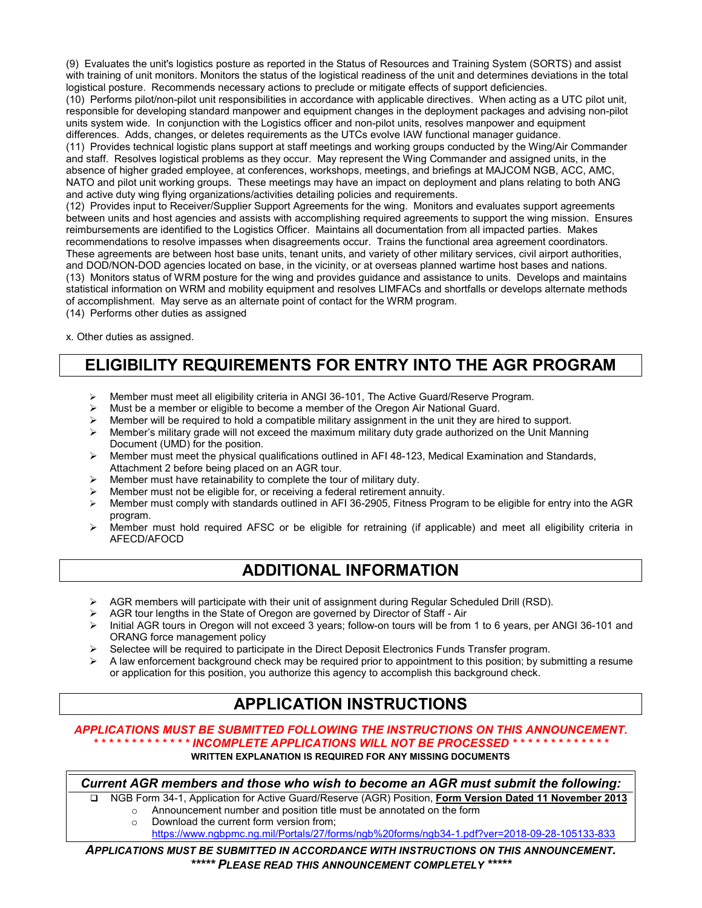(9) Evaluates the unit's logistics posture as reported in the Status of Resources and Training System (SORTS) and assist with training of unit monitors. Monitors the status of the logistical readiness of the unit and determines deviations in the total logistical posture. Recommends necessary actions to preclude or mitigate effects of support deficiencies.

(10) Performs pilot/non-pilot unit responsibilities in accordance with applicable directives. When acting as a UTC pilot unit, responsible for developing standard manpower and equipment changes in the deployment packages and advising non-pilot units system wide. In conjunction with the Logistics officer and non-pilot units, resolves manpower and equipment differences. Adds, changes, or deletes requirements as the UTCs evolve IAW functional manager guidance.

(11) Provides technical logistic plans support at staff meetings and working groups conducted by the Wing/Air Commander and staff. Resolves logistical problems as they occur. May represent the Wing Commander and assigned units, in the absence of higher graded employee, at conferences, workshops, meetings, and briefings at MAJCOM NGB, ACC, AMC, NATO and pilot unit working groups. These meetings may have an impact on deployment and plans relating to both ANG and active duty wing flying organizations/activities detailing policies and requirements.

(12) Provides input to Receiver/Supplier Support Agreements for the wing. Monitors and evaluates support agreements between units and host agencies and assists with accomplishing required agreements to support the wing mission. Ensures reimbursements are identified to the Logistics Officer. Maintains all documentation from all impacted parties. Makes recommendations to resolve impasses when disagreements occur. Trains the functional area agreement coordinators. These agreements are between host base units, tenant units, and variety of other military services, civil airport authorities, and DOD/NON-DOD agencies located on base, in the vicinity, or at overseas planned wartime host bases and nations. (13) Monitors status of WRM posture for the wing and provides guidance and assistance to units. Develops and maintains statistical information on WRM and mobility equipment and resolves LIMFACs and shortfalls or develops alternate methods of accomplishment. May serve as an alternate point of contact for the WRM program.

(14) Performs other duties as assigned

x. Other duties as assigned.

## **ELIGIBILITY REQUIREMENTS FOR ENTRY INTO THE AGR PROGRAM**

- Member must meet all eligibility criteria in ANGI 36-101, The Active Guard/Reserve Program.<br>
Must be a member or eligible to become a member of the Oregon Air National Guard
- Must be a member or eligible to become a member of the Oregon Air National Guard.
- $\triangleright$  Member will be required to hold a compatible military assignment in the unit they are hired to support.
- $\triangleright$  Member's military grade will not exceed the maximum military duty grade authorized on the Unit Manning Document (UMD) for the position.
- $\triangleright$  Member must meet the physical qualifications outlined in AFI 48-123, Medical Examination and Standards, Attachment 2 before being placed on an AGR tour.
- Member must have retainability to complete the tour of military duty.
- Member must not be eligible for, or receiving a federal retirement annuity.
- Member must comply with standards outlined in AFI 36-2905, Fitness Program to be eligible for entry into the AGR program.
- $\triangleright$  Member must hold required AFSC or be eligible for retraining (if applicable) and meet all eligibility criteria in AFECD/AFOCD

## **ADDITIONAL INFORMATION**

- $\triangleright$  AGR members will participate with their unit of assignment during Regular Scheduled Drill (RSD).
- $\triangleright$  AGR tour lengths in the State of Oregon are governed by Director of Staff Air
- Initial AGR tours in Oregon will not exceed 3 years; follow-on tours will be from 1 to 6 years, per ANGI 36-101 and ORANG force management policy
- $\geq$  Selectee will be required to participate in the Direct Deposit Electronics Funds Transfer program.
- A law enforcement background check may be required prior to appointment to this position; by submitting a resume or application for this position, you authorize this agency to accomplish this background check.

# **APPLICATION INSTRUCTIONS**

#### *APPLICATIONS MUST BE SUBMITTED FOLLOWING THE INSTRUCTIONS ON THIS ANNOUNCEMENT. \* \* \* \* \* \* \* \* \* \* \* \* \* INCOMPLETE APPLICATIONS WILL NOT BE PROCESSED \* \* \* \* \* \* \* \* \* \* \* \* \**

#### **WRITTEN EXPLANATION IS REQUIRED FOR ANY MISSING DOCUMENTS**

*Current AGR members and those who wish to become an AGR must submit the following:*

 NGB Form 34-1, Application for Active Guard/Reserve (AGR) Position, **Form Version Dated 11 November 2013** o Announcement number and position title must be annotated on the form  $\circ$  Download the current form version from:

- Download the current form version from:
	- <https://www.ngbpmc.ng.mil/Portals/27/forms/ngb%20forms/ngb34-1.pdf?ver=2018-09-28-105133-833>

*APPLICATIONS MUST BE SUBMITTED IN ACCORDANCE WITH INSTRUCTIONS ON THIS ANNOUNCEMENT. \*\*\*\*\* PLEASE READ THIS ANNOUNCEMENT COMPLETELY \*\*\*\*\**